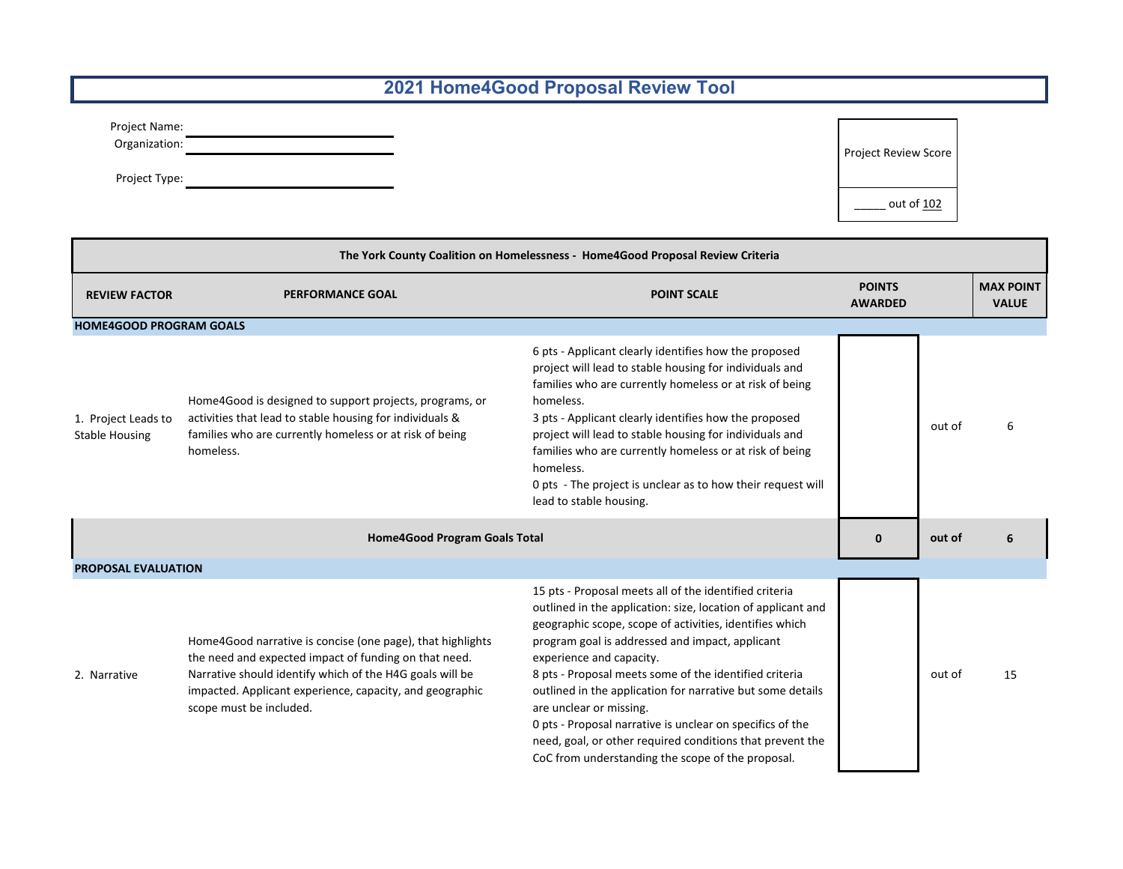## **2021 Home4Good Proposal Review Tool**

| Project Name: |  |
|---------------|--|
| Organization: |  |

Project Type: Saved Discovery of the Saved Discovery of the Saved Discovery of the Saved Discovery of the Saved Discovery of the Saved Discovery of the Saved Discovery of the Saved Discovery of the Saved Discovery of the S

Project Review Score

 $\frac{\phantom{0}}{\phantom{0}}$  out of  $\frac{102}{\phantom{0}}$ 

| The York County Coalition on Homelessness - Home4Good Proposal Review Criteria |                                                                                                                                                                                                                                                                        |                                                                                                                                                                                                                                                                                                                                                                                                                                                                                                                                                                                                    |                                 |        |                                  |  |
|--------------------------------------------------------------------------------|------------------------------------------------------------------------------------------------------------------------------------------------------------------------------------------------------------------------------------------------------------------------|----------------------------------------------------------------------------------------------------------------------------------------------------------------------------------------------------------------------------------------------------------------------------------------------------------------------------------------------------------------------------------------------------------------------------------------------------------------------------------------------------------------------------------------------------------------------------------------------------|---------------------------------|--------|----------------------------------|--|
| <b>REVIEW FACTOR</b>                                                           | <b>PERFORMANCE GOAL</b>                                                                                                                                                                                                                                                | <b>POINT SCALE</b>                                                                                                                                                                                                                                                                                                                                                                                                                                                                                                                                                                                 | <b>POINTS</b><br><b>AWARDED</b> |        | <b>MAX POINT</b><br><b>VALUE</b> |  |
| <b>HOME4GOOD PROGRAM GOALS</b>                                                 |                                                                                                                                                                                                                                                                        |                                                                                                                                                                                                                                                                                                                                                                                                                                                                                                                                                                                                    |                                 |        |                                  |  |
| 1. Project Leads to<br><b>Stable Housing</b>                                   | Home4Good is designed to support projects, programs, or<br>activities that lead to stable housing for individuals &<br>families who are currently homeless or at risk of being<br>homeless.                                                                            | 6 pts - Applicant clearly identifies how the proposed<br>project will lead to stable housing for individuals and<br>families who are currently homeless or at risk of being<br>homeless.<br>3 pts - Applicant clearly identifies how the proposed<br>project will lead to stable housing for individuals and<br>families who are currently homeless or at risk of being<br>homeless.<br>0 pts - The project is unclear as to how their request will<br>lead to stable housing.                                                                                                                     |                                 | out of | 6                                |  |
| <b>Home4Good Program Goals Total</b>                                           |                                                                                                                                                                                                                                                                        | 0                                                                                                                                                                                                                                                                                                                                                                                                                                                                                                                                                                                                  | out of                          |        |                                  |  |
|                                                                                | <b>PROPOSAL EVALUATION</b>                                                                                                                                                                                                                                             |                                                                                                                                                                                                                                                                                                                                                                                                                                                                                                                                                                                                    |                                 |        |                                  |  |
| 2. Narrative                                                                   | Home4Good narrative is concise (one page), that highlights<br>the need and expected impact of funding on that need.<br>Narrative should identify which of the H4G goals will be<br>impacted. Applicant experience, capacity, and geographic<br>scope must be included. | 15 pts - Proposal meets all of the identified criteria<br>outlined in the application: size, location of applicant and<br>geographic scope, scope of activities, identifies which<br>program goal is addressed and impact, applicant<br>experience and capacity.<br>8 pts - Proposal meets some of the identified criteria<br>outlined in the application for narrative but some details<br>are unclear or missing.<br>0 pts - Proposal narrative is unclear on specifics of the<br>need, goal, or other required conditions that prevent the<br>CoC from understanding the scope of the proposal. |                                 | out of | 15                               |  |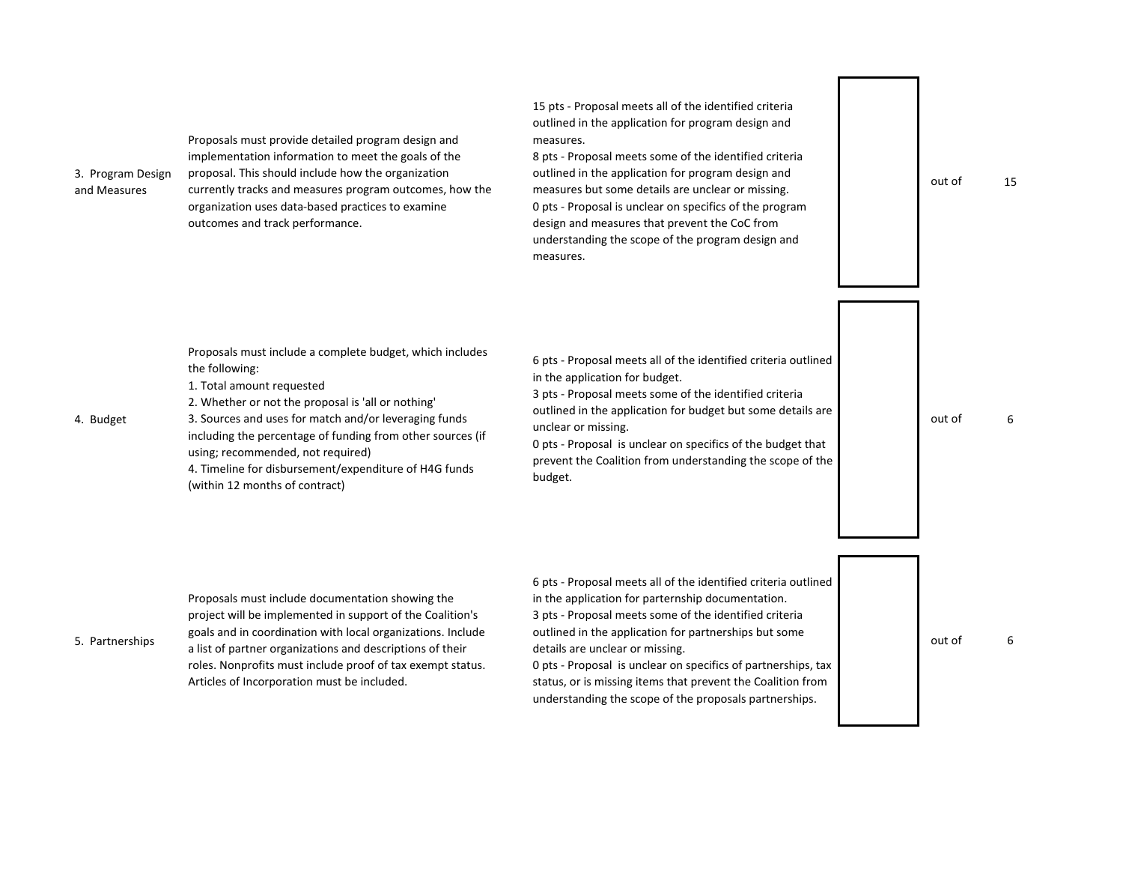| 3. Program Design<br>and Measures | Proposals must provide detailed program design and<br>implementation information to meet the goals of the<br>proposal. This should include how the organization<br>currently tracks and measures program outcomes, how the<br>organization uses data-based practices to examine<br>outcomes and track performance.                                                                                                   | 15 pts - Proposal meets all of the identified criteria<br>outlined in the application for program design and<br>measures.<br>8 pts - Proposal meets some of the identified criteria<br>outlined in the application for program design and<br>measures but some details are unclear or missing.<br>0 pts - Proposal is unclear on specifics of the program<br>design and measures that prevent the CoC from<br>understanding the scope of the program design and<br>measures. | out of | 15 |
|-----------------------------------|----------------------------------------------------------------------------------------------------------------------------------------------------------------------------------------------------------------------------------------------------------------------------------------------------------------------------------------------------------------------------------------------------------------------|------------------------------------------------------------------------------------------------------------------------------------------------------------------------------------------------------------------------------------------------------------------------------------------------------------------------------------------------------------------------------------------------------------------------------------------------------------------------------|--------|----|
| 4. Budget                         | Proposals must include a complete budget, which includes<br>the following:<br>1. Total amount requested<br>2. Whether or not the proposal is 'all or nothing'<br>3. Sources and uses for match and/or leveraging funds<br>including the percentage of funding from other sources (if<br>using; recommended, not required)<br>4. Timeline for disbursement/expenditure of H4G funds<br>(within 12 months of contract) | 6 pts - Proposal meets all of the identified criteria outlined<br>in the application for budget.<br>3 pts - Proposal meets some of the identified criteria<br>outlined in the application for budget but some details are<br>unclear or missing.<br>0 pts - Proposal is unclear on specifics of the budget that<br>prevent the Coalition from understanding the scope of the<br>budget.                                                                                      | out of |    |
|                                   | Proposals must include documentation showing the                                                                                                                                                                                                                                                                                                                                                                     | 6 pts - Proposal meets all of the identified criteria outlined<br>in the application for parternship documentation.                                                                                                                                                                                                                                                                                                                                                          |        |    |

 $3.$ 

5. Partnerships between the continuum continuum of the community of their communications of their details are unclear or missing. project will be implemented in support of the Coalition's goals and in coordination with local organizations. Include roles. Nonprofits must include proof of tax exempt status. Articles of Incorporation must be included.

in the application for parternship documentation. 3 pts - Proposal meets some of the identified criteria

outlined in the application for partnerships but some details are unclear or missing.

0 pts - Proposal is unclear on specifics of partnerships, tax status, or is missing items that prevent the Coalition from understanding the scope of the proposals partnerships.

out of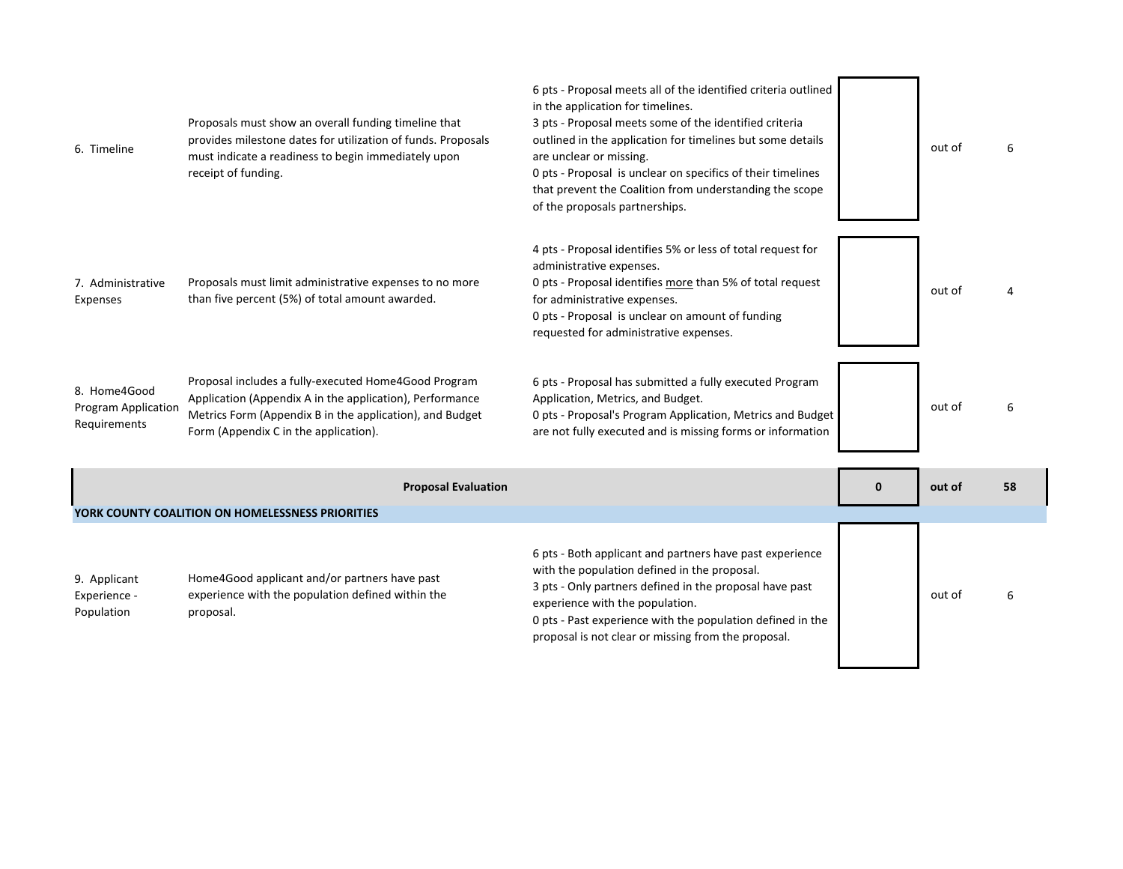| 6. Timeline                                                | Proposals must show an overall funding timeline that<br>provides milestone dates for utilization of funds. Proposals<br>must indicate a readiness to begin immediately upon<br>receipt of funding.                    | 6 pts - Proposal meets all of the identified criteria outlined<br>in the application for timelines.<br>3 pts - Proposal meets some of the identified criteria<br>outlined in the application for timelines but some details<br>are unclear or missing.<br>0 pts - Proposal is unclear on specifics of their timelines<br>that prevent the Coalition from understanding the scope<br>of the proposals partnerships. |          | out of | 6  |
|------------------------------------------------------------|-----------------------------------------------------------------------------------------------------------------------------------------------------------------------------------------------------------------------|--------------------------------------------------------------------------------------------------------------------------------------------------------------------------------------------------------------------------------------------------------------------------------------------------------------------------------------------------------------------------------------------------------------------|----------|--------|----|
| 7. Administrative<br>Expenses                              | Proposals must limit administrative expenses to no more<br>than five percent (5%) of total amount awarded.                                                                                                            | 4 pts - Proposal identifies 5% or less of total request for<br>administrative expenses.<br>0 pts - Proposal identifies more than 5% of total request<br>for administrative expenses.<br>0 pts - Proposal is unclear on amount of funding<br>requested for administrative expenses.                                                                                                                                 |          | out of |    |
| 8. Home4Good<br><b>Program Application</b><br>Requirements | Proposal includes a fully-executed Home4Good Program<br>Application (Appendix A in the application), Performance<br>Metrics Form (Appendix B in the application), and Budget<br>Form (Appendix C in the application). | 6 pts - Proposal has submitted a fully executed Program<br>Application, Metrics, and Budget.<br>0 pts - Proposal's Program Application, Metrics and Budget<br>are not fully executed and is missing forms or information                                                                                                                                                                                           |          | out of |    |
|                                                            | <b>Proposal Evaluation</b>                                                                                                                                                                                            |                                                                                                                                                                                                                                                                                                                                                                                                                    | $\bf{0}$ | out of | 58 |
|                                                            | YORK COUNTY COALITION ON HOMELESSNESS PRIORITIES                                                                                                                                                                      |                                                                                                                                                                                                                                                                                                                                                                                                                    |          |        |    |
|                                                            |                                                                                                                                                                                                                       | 6 pts - Both applicant and partners have past experience<br>with the population defined in the proposal.                                                                                                                                                                                                                                                                                                           |          |        |    |

9. Applicant Experience - Population Home4Good applicant and/or partners have past experience with the population defined within the proposal.

3 pts - Only partners defined in the proposal have past experience with the population. 0 pts - Past experience with the population defined in the proposal is not clear or missing from the proposal.

6

out of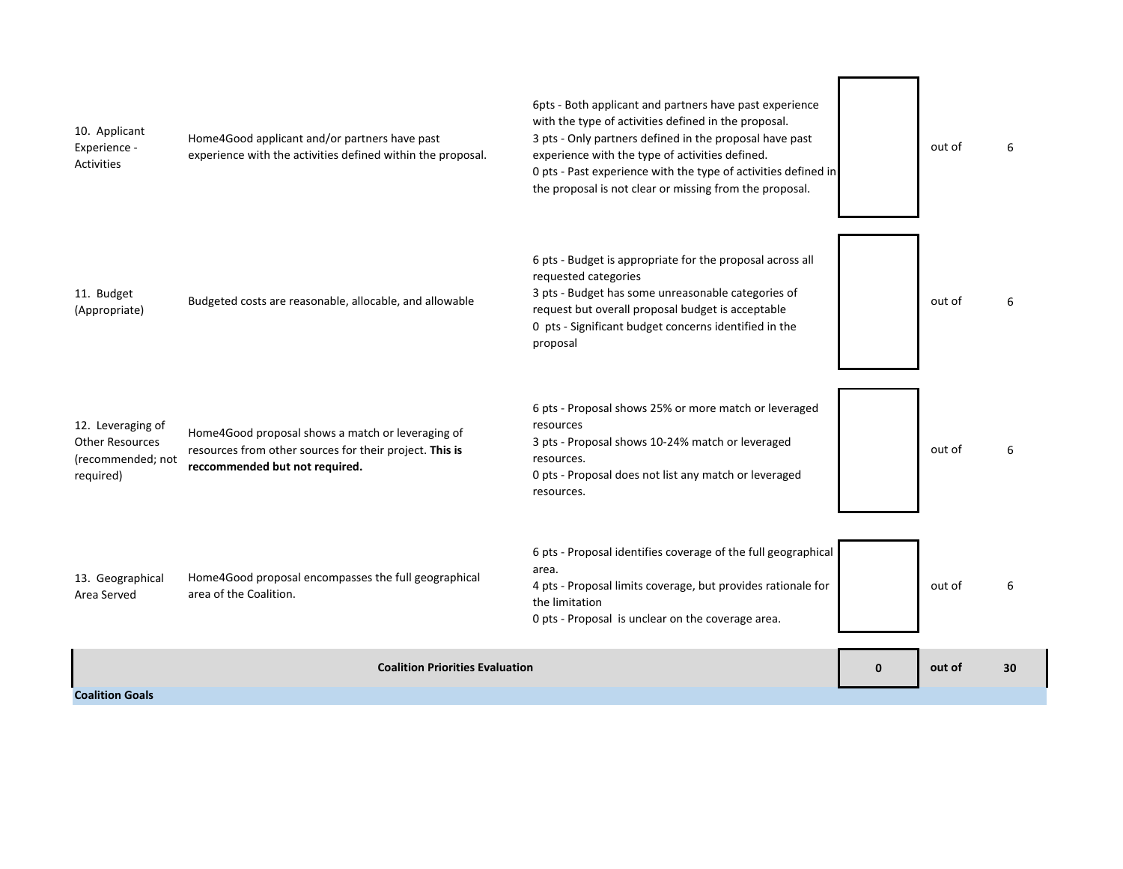| <b>Coalition Priorities Evaluation</b>                                        |                                                                                                                                                | $\mathbf{0}$                                                                                                                                                                                                                                                                                                                                               | out of | 30     |   |
|-------------------------------------------------------------------------------|------------------------------------------------------------------------------------------------------------------------------------------------|------------------------------------------------------------------------------------------------------------------------------------------------------------------------------------------------------------------------------------------------------------------------------------------------------------------------------------------------------------|--------|--------|---|
| 13. Geographical<br>Area Served                                               | Home4Good proposal encompasses the full geographical<br>area of the Coalition.                                                                 | 6 pts - Proposal identifies coverage of the full geographical<br>area.<br>4 pts - Proposal limits coverage, but provides rationale for<br>the limitation<br>0 pts - Proposal is unclear on the coverage area.                                                                                                                                              |        | out of | 6 |
| 12. Leveraging of<br><b>Other Resources</b><br>(recommended; not<br>required) | Home4Good proposal shows a match or leveraging of<br>resources from other sources for their project. This is<br>reccommended but not required. | 6 pts - Proposal shows 25% or more match or leveraged<br>resources<br>3 pts - Proposal shows 10-24% match or leveraged<br>resources.<br>0 pts - Proposal does not list any match or leveraged<br>resources.                                                                                                                                                |        | out of | 6 |
| 11. Budget<br>(Appropriate)                                                   | Budgeted costs are reasonable, allocable, and allowable                                                                                        | 6 pts - Budget is appropriate for the proposal across all<br>requested categories<br>3 pts - Budget has some unreasonable categories of<br>request but overall proposal budget is acceptable<br>0 pts - Significant budget concerns identified in the<br>proposal                                                                                          |        | out of | 6 |
| 10. Applicant<br>Experience -<br><b>Activities</b>                            | Home4Good applicant and/or partners have past<br>experience with the activities defined within the proposal.                                   | 6pts - Both applicant and partners have past experience<br>with the type of activities defined in the proposal.<br>3 pts - Only partners defined in the proposal have past<br>experience with the type of activities defined.<br>0 pts - Past experience with the type of activities defined in<br>the proposal is not clear or missing from the proposal. |        | out of | 6 |

 $\blacksquare$ 

 $\overline{\phantom{0}}$ 

T)

**Coalition Goals**